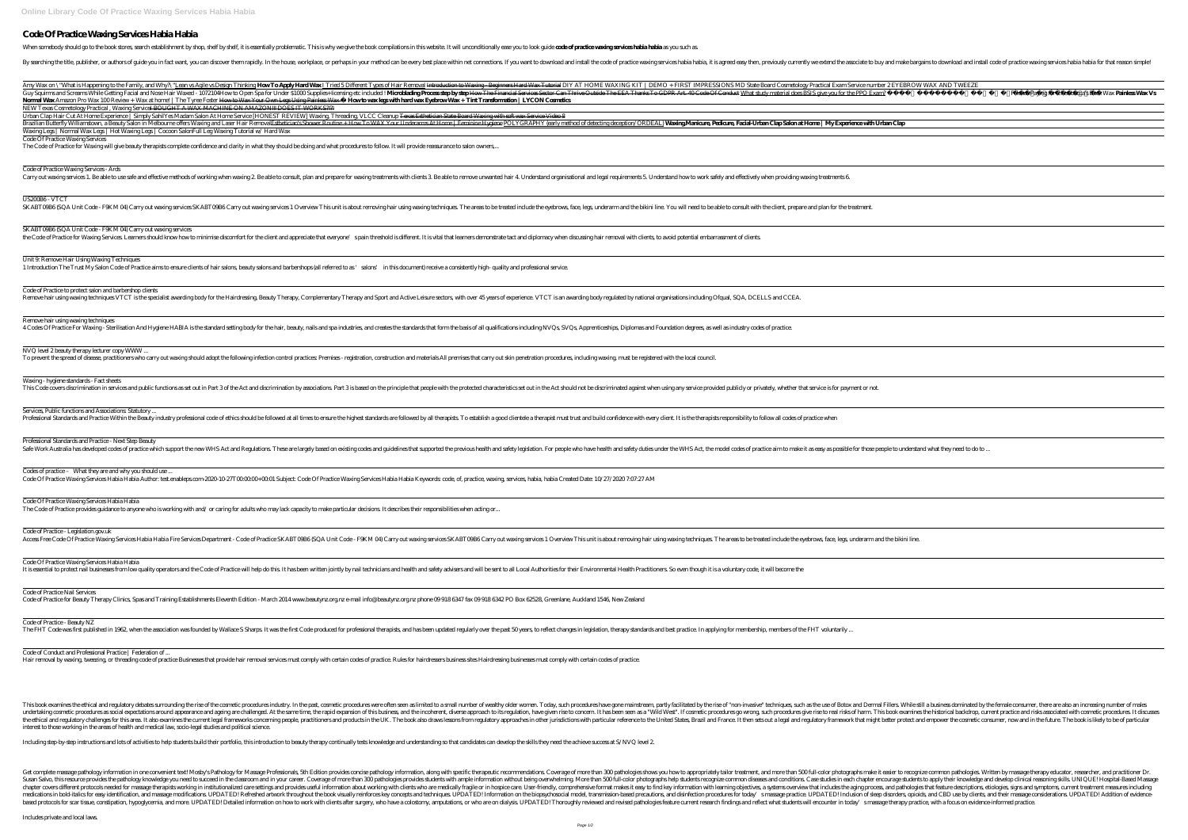## **Code Of Practice Waxing Services Habia Habia**

When somebody should go to the book stores, search establishment by shop, shelf by shelf, it is essentially problematic. This is why we give the book compilations in this website. It will unconditionally ease you to look g

By searching the title, publisher, or authors of guide you in fact want, you can discover them rapidly. In the house, workplace, or perhaps in your method can be every best place within net connections. If you want to down

| Guy Squirms and Screams While Getting Facial and Nose Hair Waxed - 1072104How to Open Spa for Under \$1000 Supplies+ licensing etc included ! Microblading Process step by step How The Fi                                                                                                                                                                                                                                                                                                                                           |
|--------------------------------------------------------------------------------------------------------------------------------------------------------------------------------------------------------------------------------------------------------------------------------------------------------------------------------------------------------------------------------------------------------------------------------------------------------------------------------------------------------------------------------------|
| Normal Wax Amazon Pro Wax 100 Review + Wax at home!   The Tyree Foster Howto Wax Your Own Legs Using Painless Wax — <b>Howto wax legs with hard wax Eyebrow Wax + Tint Transformer Contrarsts</b><br>NEW Texas Cosmetology Practical, Waxing Service <del>l BOUGHT A WAX MACHINE ON AMAZON!!! DOES IT WORKS?!?!</del>                                                                                                                                                                                                                |
| Urban Clap Hair Cut At Home Experience   Simply Sahil Yes Madam Salon At Home Service [HONEST REVIEW] Waxing Threading VLCC Cleanup <del>Texas Esthetician State Board Waxing w</del><br>Brazilian Butterfly Williamstown, a Beauty Salon in Melbourne offers Waxing and Laser Hair Removal <del>Esthetician's Shower Routine + How To WAX Your Underarms At Home   Feminine Hygier</del><br>Waxing Legs   Normal Wax Legs   Hot Waxing Legs   Cocoon Salon Full Leg Waxing Tutorial w/ Hard Wax<br>Code Of Practice Waxing Services |
| The Code of Practice for Waxing will give beauty therapists complete confidence and clarity in what they should be doing and what procedures to follow. It will provide reassurance to salon owners                                                                                                                                                                                                                                                                                                                                  |
| Code of Practice Waxing Services - Ards<br>Carry out waxing services 1. Be able to use safe and effective methods of working when waxing 2. Be able to consult, plan and prepare for waxing treatments with clients 3. Be able to remove unwante                                                                                                                                                                                                                                                                                     |
| US200B6-VTCT<br>SKABTO9B6 (SQA Unit Code - F9KM 04) Carry out waxing services SKABTO9B6 Carry out waxing services 1 Overview This unit is about removing hair using waxing techniques. The areas to be                                                                                                                                                                                                                                                                                                                               |
| SKABTOBB6 (SQA Unit Code - F9KM 04) Carry out waxing services<br>the Code of Practice for Waxing Services Learners should know how to minimise discomfort for the client and appreciate that everyone' spain threshold is different. It is vital that learners demonstr                                                                                                                                                                                                                                                              |
| Unit 9. Remove Hair Using Waxing Techniques<br>1 Introduction The Trust My Salon Code of Practice aims to ensure clients of hair salons, beauty salons and barbershops (all referred to as 'salons' in this document) receive a consistently high-qu                                                                                                                                                                                                                                                                                 |
| Code of Practice to protect salon and barbershop clients<br>Remove hair using waxing techniques VTCT is the specialist awarding body for the Hairdressing. Beauty Therapy, Complementary Therapy and Sport and Active Leisure sectors, with over 45 years                                                                                                                                                                                                                                                                            |
| Remove hair using waxing techniques<br>4 Codes Of Practice For Waxing - Sterilisation And Hygiene HABIA is the standard setting body for the hair, beauty, nails and spa industries, and creates the standards that form the basis of all qualit                                                                                                                                                                                                                                                                                     |
| NVQ level 2 beauty therapy lecturer copy WWW<br>To prevent the spread of disease, practitioners who carry out waxing should adopt the following infection control practices Premises - registration, construction and materials All premises that carry o                                                                                                                                                                                                                                                                            |
| Waxing - hygiene standards - Fact sheets<br>This Code covers discrimination in services and public functions as set out in Part 3 of the Act and discrimination by associations Part 3 is based on the principle that people with the protected charac                                                                                                                                                                                                                                                                               |
| Services, Public functions and Associations Statutory<br>Professional Standards and Practice Within the Beauty industry professional code of ethics should be followed at all times to ensure the highest standards are followed by all therapists. To establish a g                                                                                                                                                                                                                                                                 |
| Professional Standards and Practice - Next Step Beauty<br>Safe Work Australia has developed codes of practice which support the new WHS Act and Regulations These are largely based on existing codes and guidelines that supported the previous health an                                                                                                                                                                                                                                                                           |
| Codes of practice - What they are and why you should use<br>Code Of Practice Waxing Services Habia Habia Author: test.enableps.com-2020-10-27T000000+0001 Subject: Code Of Practice Waxing Services Habia Habia Keywords code, of, practice, waxin                                                                                                                                                                                                                                                                                   |
| Code Of Practice Waxing Services Habia Habia<br>The Code of Practice provides guidance to anyone who is working with and/or caring for adults who may lack capacity to make particular decisions. It describes their responsibilities when acting or                                                                                                                                                                                                                                                                                 |
| Code of Practice - Legislation.gov.uk<br>Access Free Code Of Practice Waxing Services Habia Habia Fire Services Department - Code of Practice SKABTO9B6 (SQA Unit Code - F9KM 04) Carry out waxing services SKABTO9B6 Carry o                                                                                                                                                                                                                                                                                                        |
| Code Of Practice Waxing Services Habia Habia<br>It is essential to protect nail businesses from low quality operators and the Code of Practice will help do this It has been written jointly by nail technicians and health and safety advisers and will be ser                                                                                                                                                                                                                                                                      |
| Code of Practice Nail Services<br>Code of Practice for Beauty Therapy Clinics, Spas and Training Establishments Eleventh Edition - March 2014 www.beautynz.org.nz e-mail info@beautynz.org.nz phone 099186347 fax 0991863                                                                                                                                                                                                                                                                                                            |
|                                                                                                                                                                                                                                                                                                                                                                                                                                                                                                                                      |

This book examines the ethical and regulatory debates sum unding the rise of the cosmetic procedures industry. In the past, cosmetic procedures industry. In the past, cosmetic procedures were often seen as limited to a sma undertaking cosmetic procedures as social expectations around appearance and ageing are challenged. At the same time, the rapid expansion of this business, and the incoherent, diverse approach to its regulation, have given the ethical and regulatory challenges for this area. It also examines the current legal frameworks concerning people, practitioners and products in the UK. The book also draws lessons from regulatory framework that might b interest to those working in the areas of health and medical law, socio-legal studies and political science.

Including step-by-step instructions and lots of activities to help students build their portfolio, this introduction to beauty therapy continually tests knowledge and understanding so that candidates can develop the skills

Get complete massage pathology information in one convenient text! Mosby's Pathology for Massage Professionals, 5th Edition provides concise pathology information, along with specific therapeutic recommendations. Coverage Susan Salvo, this resource provides the pathology knowledge you need to succeed in the dassroom and in your career. Coverage of more than 300 pathologies provides students with ample information without being overwhelming. chapter covers different protocols needed for massage therapists working in institutionalized care settings and provides useful information about working with dients who are medically fragile or in hospice care. User-frien medications in bold-italics for easy identification, and massage modifications. UPDATED! Refreshed artwork throughout the book visually reinforces key concepts and techniques. UPDATED! Indusion of sleep disorders, opioids, based protocols for scar tissue, constipation, hypoglycemia, and more. UPDATED! Detailed information on how to work with clients after surgery, who have a colostomy, amputations, or who are on dialysis. UPDATED! Thoroughly

Code of Practice - Beauty NZ

The FHT Code was first published in 1962, when the association was founded by Wallace S Sharps. It was the first Code produced for professional therapists, and has been updated regularly over the past 50 years, to reflect

Code of Conduct and Professional Practice | Federation of ...

Hair removal by waxing tweezing or threading code of practice Businesses that provide hair removal services must comply with certain codes of practice. Rules for hairdressers business sites Hairdressing businesses must com

ion to Waxing - Beginners Hard Wax Tutorial DIY AT HOME WAXING KIT | DEMO + FIRST IMPRESSIONS MD State Board Cosmetology Practical Exam Service number 2EY bystepHowThe Financial Services Sector Can Thrive Outside The EEA Thanks To GDPR Art. 40 Code Of Conduct What study material does BSIS give you for the PPO Exam? **Max+ Tint Transformation | LYCON Cosmetics** Urban Clap Hair Cut At Home Experience | Simply Sahil*Yes Madam Salon At Home Service [HONEST REVIEW] Waxing, Threading, VLCC Cleanup* Texas Esthetician State Board Waxing with soft wax Service Video 8 <del>e | Feninine Hygiene</del> <u>POLYGRAPHY (early method of detecting deception/ORDEAL)</u> **Waxing Maricure, Pedicure, Facial Urban Clap Salonat Horne | My Experience with Urban Clap** e to remove unwanted hair 4. Understand organisational and legal requirements 5. Understand how to work safely and effectively when providing waxing treatments 6 ues. The areas to be treated include the eyebrows, face, legs, underarm and the bikini line. You will need to be able to consult with the client, prepare and plan for the treatment. rat learners demonstrate tact and diplomacy when discussing hair removal with clients, to avoid potential embarrassment of clients. consistently high-quality and professional service. rs, with over 45 years of experience. VTCT is an awarding body regulated by national organisations including Ofqual, SQA, DCELLS and CCEA. the basis of all qualifications including NVQs, SVQs, Apprenticeships, Diplomas and Foundation degrees, as well as industry codes of practice. premises that carry out skin penetration procedures, including waxing, must be registered with the local council. the protected characteristics set out in the Act should not be discriminated against when using any service provided publicly or privately, whether that service is for payment or not. pists. To establish a good clientele a therapist must trust and build confidence with every client. It is the therapists responsibility to follow all codes of practice when e previous health and safety legislation. For people who have health and safety duties under the WHS Act, the model codes of practice aim to make it as easy as possible for those people to understand what they need to do t ode, of, practice, waxing, services, habia, habia Created Date: 10/27/2020 7:07:27 AM  $\limsup$  dities when acting or  $\ldots$ SKABTO9B6Carry out waxing services 1 Overview This unit is about removing hair using waxing techniques. The areas to be treated include the eyebrows, face, legs, underarm and the bikini line. tvisers and will be sent to all Local Authorities for their Environmental Health Practitioners. So even though it is a voluntary code, it will become the

86347 fax 099186342 PO Box 62528, Greenlane, Auckland 1546, New Zealand

| EBROW WAX AND TWEEZE                                                               |  |
|------------------------------------------------------------------------------------|--|
| SATISFYING WAXING COMPILATION that Paying for Chewbacca's Back Wax Painless Wax Vs |  |